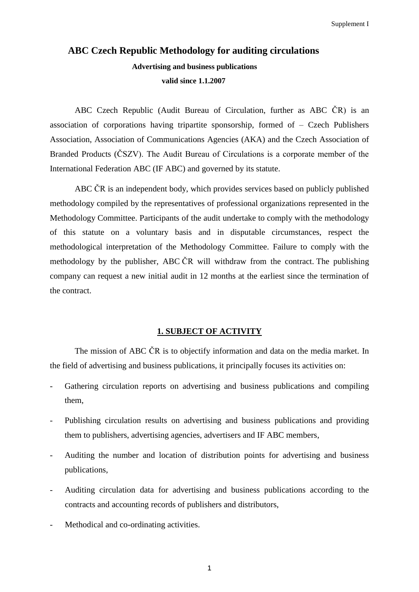# **ABC Czech Republic Methodology for auditing circulations Advertising and business publications valid since 1.1.2007**

ABC Czech Republic (Audit Bureau of Circulation, further as ABC ČR) is an association of corporations having tripartite sponsorship, formed of  $-$  Czech Publishers Association, Association of Communications Agencies (AKA) and the Czech Association of Branded Products (ČSZV). The Audit Bureau of Circulations is a corporate member of the International Federation ABC (IF ABC) and governed by its statute.

ABC ČR is an independent body, which provides services based on publicly published methodology compiled by the representatives of professional organizations represented in the Methodology Committee. Participants of the audit undertake to comply with the methodology of this statute on a voluntary basis and in disputable circumstances, respect the methodological interpretation of the Methodology Committee. Failure to comply with the methodology by the publisher, ABC ČR will withdraw from the contract. The publishing company can request a new initial audit in 12 months at the earliest since the termination of the contract.

#### **1. SUBJECT OF ACTIVITY**

The mission of ABC ČR is to objectify information and data on the media market. In the field of advertising and business publications, it principally focuses its activities on:

- Gathering circulation reports on advertising and business publications and compiling them,
- Publishing circulation results on advertising and business publications and providing them to publishers, advertising agencies, advertisers and IF ABC members,
- Auditing the number and location of distribution points for advertising and business publications,
- Auditing circulation data for advertising and business publications according to the contracts and accounting records of publishers and distributors,
- Methodical and co-ordinating activities.

1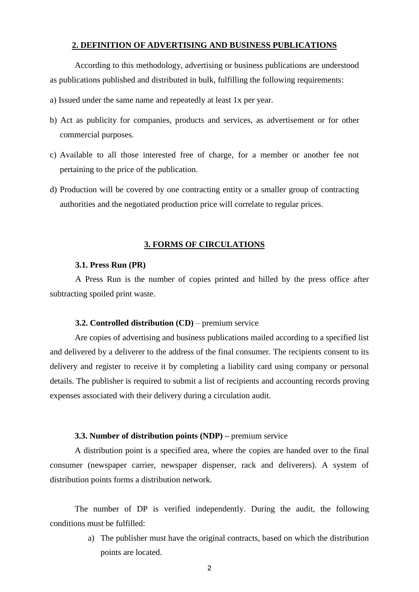#### **2. DEFINITION OF ADVERTISING AND BUSINESS PUBLICATIONS**

According to this methodology, advertising or business publications are understood as publications published and distributed in bulk, fulfilling the following requirements:

- a) Issued under the same name and repeatedly at least 1x per year.
- b) Act as publicity for companies, products and services, as advertisement or for other commercial purposes.
- c) Available to all those interested free of charge, for a member or another fee not pertaining to the price of the publication.
- d) Production will be covered by one contracting entity or a smaller group of contracting authorities and the negotiated production price will correlate to regular prices.

### **3. FORMS OF CIRCULATIONS**

### **3.1. Press Run (PR)**

A Press Run is the number of copies printed and billed by the press office after subtracting spoiled print waste.

# **3.2. Controlled distribution (CD)** – premium service

Are copies of advertising and business publications mailed according to a specified list and delivered by a deliverer to the address of the final consumer. The recipients consent to its delivery and register to receive it by completing a liability card using company or personal details. The publisher is required to submit a list of recipients and accounting records proving expenses associated with their delivery during a circulation audit.

#### **3.3. Number of distribution points (NDP) –** premium service

A distribution point is a specified area, where the copies are handed over to the final consumer (newspaper carrier, newspaper dispenser, rack and deliverers). A system of distribution points forms a distribution network.

The number of DP is verified independently. During the audit, the following conditions must be fulfilled:

> a) The publisher must have the original contracts, based on which the distribution points are located.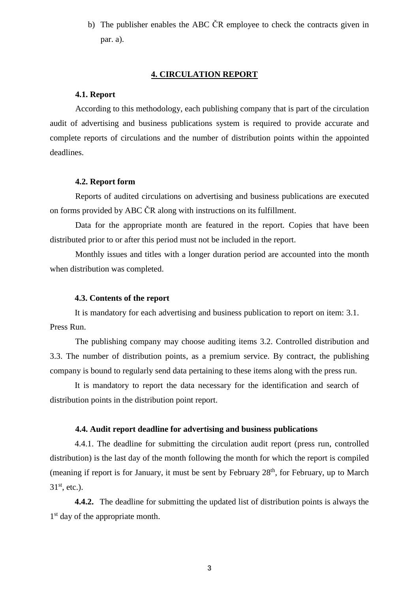b) The publisher enables the ABC ČR employee to check the contracts given in par. a).

# **4. CIRCULATION REPORT**

#### **4.1. Report**

According to this methodology, each publishing company that is part of the circulation audit of advertising and business publications system is required to provide accurate and complete reports of circulations and the number of distribution points within the appointed deadlines.

# **4.2. Report form**

Reports of audited circulations on advertising and business publications are executed on forms provided by ABC ČR along with instructions on its fulfillment.

Data for the appropriate month are featured in the report. Copies that have been distributed prior to or after this period must not be included in the report.

Monthly issues and titles with a longer duration period are accounted into the month when distribution was completed.

### **4.3. Contents of the report**

It is mandatory for each advertising and business publication to report on item: 3.1. Press Run.

The publishing company may choose auditing items 3.2. Controlled distribution and 3.3. The number of distribution points, as a premium service. By contract, the publishing company is bound to regularly send data pertaining to these items along with the press run.

It is mandatory to report the data necessary for the identification and search of distribution points in the distribution point report.

# **4.4. Audit report deadline for advertising and business publications**

4.4.1. The deadline for submitting the circulation audit report (press run, controlled distribution) is the last day of the month following the month for which the report is compiled (meaning if report is for January, it must be sent by February  $28<sup>th</sup>$ , for February, up to March  $31<sup>st</sup>$ , etc.).

**4.4.2.** The deadline for submitting the updated list of distribution points is always the 1<sup>st</sup> day of the appropriate month.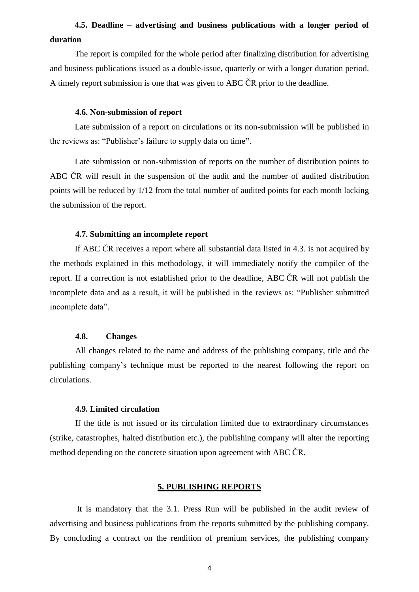# **4.5. Deadline – advertising and business publications with a longer period of duration**

The report is compiled for the whole period after finalizing distribution for advertising and business publications issued as a double-issue, quarterly or with a longer duration period. A timely report submission is one that was given to ABC ČR prior to the deadline.

### **4.6. Non-submission of report**

Late submission of a report on circulations or its non-submission will be published in the reviews as: "Publisher's failure to supply data on time**"**.

Late submission or non-submission of reports on the number of distribution points to ABC ČR will result in the suspension of the audit and the number of audited distribution points will be reduced by 1/12 from the total number of audited points for each month lacking the submission of the report.

# **4.7. Submitting an incomplete report**

If ABC ČR receives a report where all substantial data listed in 4.3. is not acquired by the methods explained in this methodology, it will immediately notify the compiler of the report. If a correction is not established prior to the deadline, ABC ČR will not publish the incomplete data and as a result, it will be published in the reviews as: "Publisher submitted incomplete data".

# **4.8. Changes**

All changes related to the name and address of the publishing company, title and the publishing company's technique must be reported to the nearest following the report on circulations.

#### **4.9. Limited circulation**

If the title is not issued or its circulation limited due to extraordinary circumstances (strike, catastrophes, halted distribution etc.), the publishing company will alter the reporting method depending on the concrete situation upon agreement with ABC ČR.

### **5. PUBLISHING REPORTS**

It is mandatory that the 3.1. Press Run will be published in the audit review of advertising and business publications from the reports submitted by the publishing company. By concluding a contract on the rendition of premium services, the publishing company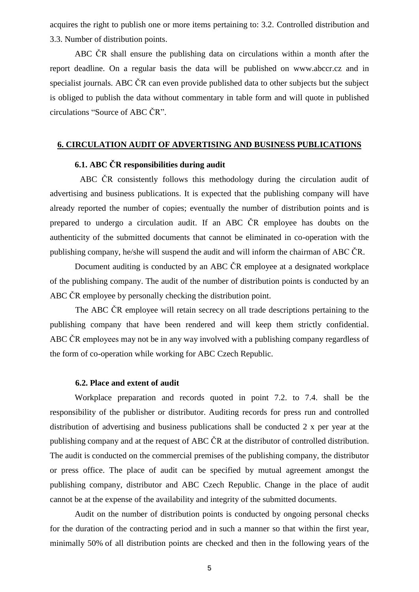acquires the right to publish one or more items pertaining to: 3.2. Controlled distribution and 3.3. Number of distribution points.

ABC ČR shall ensure the publishing data on circulations within a month after the report deadline. On a regular basis the data will be published on www.abccr.cz and in specialist journals. ABC ČR can even provide published data to other subjects but the subject is obliged to publish the data without commentary in table form and will quote in published circulations "Source of ABC ČR".

# **6. CIRCULATION AUDIT OF ADVERTISING AND BUSINESS PUBLICATIONS**

# **6.1. ABC ČR responsibilities during audit**

ABC ČR consistently follows this methodology during the circulation audit of advertising and business publications. It is expected that the publishing company will have already reported the number of copies; eventually the number of distribution points and is prepared to undergo a circulation audit. If an ABC ČR employee has doubts on the authenticity of the submitted documents that cannot be eliminated in co-operation with the publishing company, he/she will suspend the audit and will inform the chairman of ABC ČR.

Document auditing is conducted by an ABC ČR employee at a designated workplace of the publishing company. The audit of the number of distribution points is conducted by an ABC ČR employee by personally checking the distribution point.

The ABC ČR employee will retain secrecy on all trade descriptions pertaining to the publishing company that have been rendered and will keep them strictly confidential. ABC ČR employees may not be in any way involved with a publishing company regardless of the form of co-operation while working for ABC Czech Republic.

### **6.2. Place and extent of audit**

Workplace preparation and records quoted in point 7.2. to 7.4. shall be the responsibility of the publisher or distributor. Auditing records for press run and controlled distribution of advertising and business publications shall be conducted 2 x per year at the publishing company and at the request of ABC ČR at the distributor of controlled distribution. The audit is conducted on the commercial premises of the publishing company, the distributor or press office. The place of audit can be specified by mutual agreement amongst the publishing company, distributor and ABC Czech Republic. Change in the place of audit cannot be at the expense of the availability and integrity of the submitted documents.

Audit on the number of distribution points is conducted by ongoing personal checks for the duration of the contracting period and in such a manner so that within the first year, minimally 50% of all distribution points are checked and then in the following years of the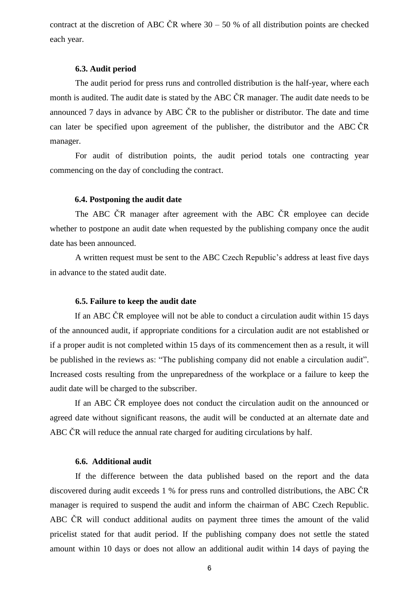contract at the discretion of ABC ČR where  $30 - 50$  % of all distribution points are checked each year.

# **6.3. Audit period**

The audit period for press runs and controlled distribution is the half-year, where each month is audited. The audit date is stated by the ABC CR manager. The audit date needs to be announced 7 days in advance by ABC ČR to the publisher or distributor. The date and time can later be specified upon agreement of the publisher, the distributor and the ABC ČR manager.

For audit of distribution points, the audit period totals one contracting year commencing on the day of concluding the contract.

# **6.4. Postponing the audit date**

The ABC ČR manager after agreement with the ABC ČR employee can decide whether to postpone an audit date when requested by the publishing company once the audit date has been announced.

A written request must be sent to the ABC Czech Republic's address at least five days in advance to the stated audit date.

#### **6.5. Failure to keep the audit date**

If an ABC ČR employee will not be able to conduct a circulation audit within 15 days of the announced audit, if appropriate conditions for a circulation audit are not established or if a proper audit is not completed within 15 days of its commencement then as a result, it will be published in the reviews as: "The publishing company did not enable a circulation audit". Increased costs resulting from the unpreparedness of the workplace or a failure to keep the audit date will be charged to the subscriber.

If an ABC ČR employee does not conduct the circulation audit on the announced or agreed date without significant reasons, the audit will be conducted at an alternate date and ABC ČR will reduce the annual rate charged for auditing circulations by half.

#### **6.6. Additional audit**

If the difference between the data published based on the report and the data discovered during audit exceeds 1 % for press runs and controlled distributions, the ABC ČR manager is required to suspend the audit and inform the chairman of ABC Czech Republic. ABC ČR will conduct additional audits on payment three times the amount of the valid pricelist stated for that audit period. If the publishing company does not settle the stated amount within 10 days or does not allow an additional audit within 14 days of paying the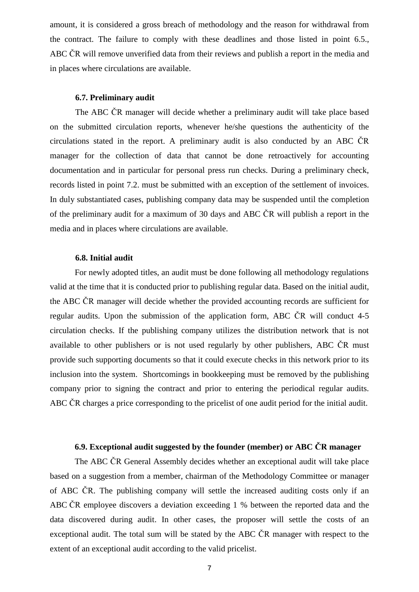amount, it is considered a gross breach of methodology and the reason for withdrawal from the contract. The failure to comply with these deadlines and those listed in point 6.5., ABC ČR will remove unverified data from their reviews and publish a report in the media and in places where circulations are available.

# **6.7. Preliminary audit**

The ABC ČR manager will decide whether a preliminary audit will take place based on the submitted circulation reports, whenever he/she questions the authenticity of the circulations stated in the report. A preliminary audit is also conducted by an ABC ČR manager for the collection of data that cannot be done retroactively for accounting documentation and in particular for personal press run checks. During a preliminary check, records listed in point 7.2. must be submitted with an exception of the settlement of invoices. In duly substantiated cases, publishing company data may be suspended until the completion of the preliminary audit for a maximum of 30 days and ABC ČR will publish a report in the media and in places where circulations are available.

## **6.8. Initial audit**

For newly adopted titles, an audit must be done following all methodology regulations valid at the time that it is conducted prior to publishing regular data. Based on the initial audit, the ABC ČR manager will decide whether the provided accounting records are sufficient for regular audits. Upon the submission of the application form, ABC ČR will conduct 4-5 circulation checks. If the publishing company utilizes the distribution network that is not available to other publishers or is not used regularly by other publishers, ABC ČR must provide such supporting documents so that it could execute checks in this network prior to its inclusion into the system. Shortcomings in bookkeeping must be removed by the publishing company prior to signing the contract and prior to entering the periodical regular audits. ABC ČR charges a price corresponding to the pricelist of one audit period for the initial audit.

# **6.9. Exceptional audit suggested by the founder (member) or ABC ČR manager**

The ABC ČR General Assembly decides whether an exceptional audit will take place based on a suggestion from a member, chairman of the Methodology Committee or manager of ABC ČR. The publishing company will settle the increased auditing costs only if an ABC ČR employee discovers a deviation exceeding 1 % between the reported data and the data discovered during audit. In other cases, the proposer will settle the costs of an exceptional audit. The total sum will be stated by the ABC ČR manager with respect to the extent of an exceptional audit according to the valid pricelist.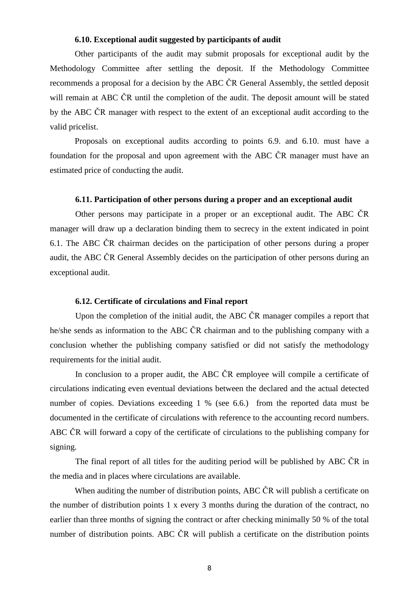#### **6.10. Exceptional audit suggested by participants of audit**

Other participants of the audit may submit proposals for exceptional audit by the Methodology Committee after settling the deposit. If the Methodology Committee recommends a proposal for a decision by the ABC ČR General Assembly, the settled deposit will remain at ABC ČR until the completion of the audit. The deposit amount will be stated by the ABC ČR manager with respect to the extent of an exceptional audit according to the valid pricelist.

Proposals on exceptional audits according to points 6.9. and 6.10. must have a foundation for the proposal and upon agreement with the ABC ČR manager must have an estimated price of conducting the audit.

#### **6.11. Participation of other persons during a proper and an exceptional audit**

Other persons may participate in a proper or an exceptional audit. The ABC ČR manager will draw up a declaration binding them to secrecy in the extent indicated in point 6.1. The ABC ČR chairman decides on the participation of other persons during a proper audit, the ABC ČR General Assembly decides on the participation of other persons during an exceptional audit.

# **6.12. Certificate of circulations and Final report**

Upon the completion of the initial audit, the ABC ČR manager compiles a report that he/she sends as information to the ABC ČR chairman and to the publishing company with a conclusion whether the publishing company satisfied or did not satisfy the methodology requirements for the initial audit.

In conclusion to a proper audit, the ABC ČR employee will compile a certificate of circulations indicating even eventual deviations between the declared and the actual detected number of copies. Deviations exceeding 1 % (see 6.6.) from the reported data must be documented in the certificate of circulations with reference to the accounting record numbers. ABC ČR will forward a copy of the certificate of circulations to the publishing company for signing.

The final report of all titles for the auditing period will be published by ABC ČR in the media and in places where circulations are available.

When auditing the number of distribution points, ABC ČR will publish a certificate on the number of distribution points 1 x every 3 months during the duration of the contract, no earlier than three months of signing the contract or after checking minimally 50 % of the total number of distribution points. ABC ČR will publish a certificate on the distribution points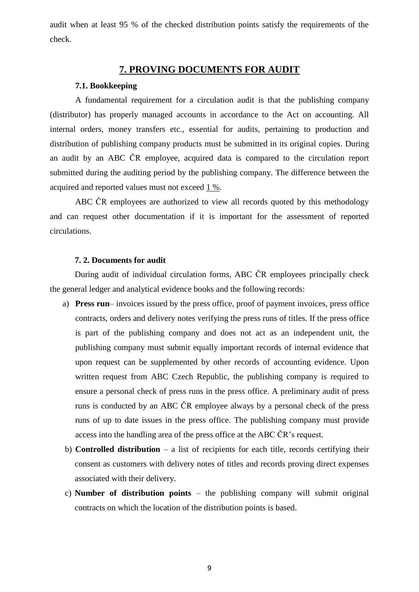audit when at least 95 % of the checked distribution points satisfy the requirements of the check.

# **7. PROVING DOCUMENTS FOR AUDIT**

# **7.1. Bookkeeping**

A fundamental requirement for a circulation audit is that the publishing company (distributor) has properly managed accounts in accordance to the Act on accounting. All internal orders, money transfers etc., essential for audits, pertaining to production and distribution of publishing company products must be submitted in its original copies. During an audit by an ABC ČR employee, acquired data is compared to the circulation report submitted during the auditing period by the publishing company. The difference between the acquired and reported values must not exceed 1 %.

ABC ČR employees are authorized to view all records quoted by this methodology and can request other documentation if it is important for the assessment of reported circulations.

# **7. 2. Documents for audit**

During audit of individual circulation forms, ABC ČR employees principally check the general ledger and analytical evidence books and the following records:

- a) **Press run** invoices issued by the press office, proof of payment invoices, press office contracts, orders and delivery notes verifying the press runs of titles. If the press office is part of the publishing company and does not act as an independent unit, the publishing company must submit equally important records of internal evidence that upon request can be supplemented by other records of accounting evidence. Upon written request from ABC Czech Republic, the publishing company is required to ensure a personal check of press runs in the press office. A preliminary audit of press runs is conducted by an ABC ČR employee always by a personal check of the press runs of up to date issues in the press office. The publishing company must provide access into the handling area of the press office at the ABC ČR's request.
- b) **Controlled distribution** a list of recipients for each title, records certifying their consent as customers with delivery notes of titles and records proving direct expenses associated with their delivery.
- c) **Number of distribution points** the publishing company will submit original contracts on which the location of the distribution points is based.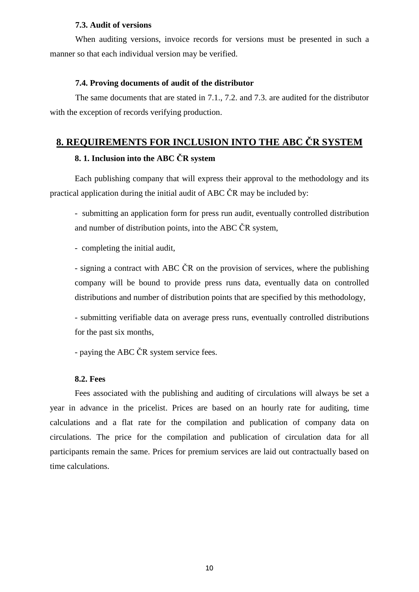#### **7.3. Audit of versions**

When auditing versions, invoice records for versions must be presented in such a manner so that each individual version may be verified.

### **7.4. Proving documents of audit of the distributor**

The same documents that are stated in 7.1., 7.2. and 7.3. are audited for the distributor with the exception of records verifying production.

# **8. REQUIREMENTS FOR INCLUSION INTO THE ABC ČR SYSTEM**

# **8. 1. Inclusion into the ABC ČR system**

Each publishing company that will express their approval to the methodology and its practical application during the initial audit of ABC ČR may be included by:

- submitting an application form for press run audit, eventually controlled distribution and number of distribution points, into the ABC ČR system,

- completing the initial audit,

- signing a contract with ABC ČR on the provision of services, where the publishing company will be bound to provide press runs data, eventually data on controlled distributions and number of distribution points that are specified by this methodology,

- submitting verifiable data on average press runs, eventually controlled distributions for the past six months,

- paying the ABC ČR system service fees.

#### **8.2. Fees**

Fees associated with the publishing and auditing of circulations will always be set a year in advance in the pricelist. Prices are based on an hourly rate for auditing, time calculations and a flat rate for the compilation and publication of company data on circulations. The price for the compilation and publication of circulation data for all participants remain the same. Prices for premium services are laid out contractually based on time calculations.